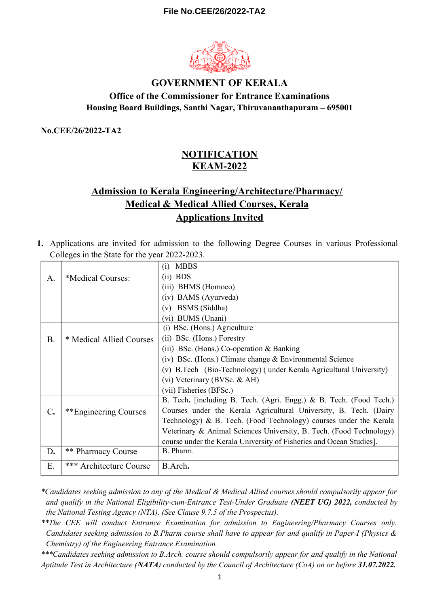

## **GOVERNMENT OF KERALA Office of the Commissioner for Entrance Examinations Housing Board Buildings, Santhi Nagar, Thiruvananthapuram – 695001**

**No.CEE/26/2022-TA2**

# **NOTIFICATION KEAM-2022**

# **Admission to Kerala Engineering/Architecture/Pharmacy/ Medical & Medical Allied Courses, Kerala Applications Invited**

**1.** Applications are invited for admission to the following Degree Courses in various Professional Colleges in the State for the year 2022-2023.

|               |                           | <b>MBBS</b><br>(i)                                                  |  |  |  |  |
|---------------|---------------------------|---------------------------------------------------------------------|--|--|--|--|
| A.            | *Medical Courses:         | $(ii)$ BDS                                                          |  |  |  |  |
|               |                           | (iii) BHMS (Homoeo)                                                 |  |  |  |  |
|               |                           | (iv) BAMS (Ayurveda)                                                |  |  |  |  |
|               |                           | BSMS (Siddha)<br>(v)                                                |  |  |  |  |
|               |                           | <b>BUMS</b> (Unani)<br>(vi)                                         |  |  |  |  |
|               |                           | (i) BSc. (Hons.) Agriculture                                        |  |  |  |  |
| <b>B.</b>     | * Medical Allied Courses  | (ii) BSc. (Hons.) Forestry                                          |  |  |  |  |
|               |                           | (iii) BSc. (Hons.) Co-operation $&$ Banking                         |  |  |  |  |
|               |                           | (iv) BSc. (Hons.) Climate change $& Environmental Science$          |  |  |  |  |
|               |                           | (v) B.Tech (Bio-Technology) (under Kerala Agricultural University)  |  |  |  |  |
|               |                           | (vi) Veterinary (BVSc. & AH)                                        |  |  |  |  |
|               |                           | (vii) Fisheries (BFSc.)                                             |  |  |  |  |
|               |                           | B. Tech. [including B. Tech. (Agri. Engg.) & B. Tech. (Food Tech.)  |  |  |  |  |
| $C_{\bullet}$ | **Engineering Courses     | Courses under the Kerala Agricultural University, B. Tech. (Dairy   |  |  |  |  |
|               |                           | Technology) & B. Tech. (Food Technology) courses under the Kerala   |  |  |  |  |
|               |                           | Veterinary & Animal Sciences University, B. Tech. (Food Technology) |  |  |  |  |
|               |                           | course under the Kerala University of Fisheries and Ocean Studies]. |  |  |  |  |
| D.            | <b>** Pharmacy Course</b> | B. Pharm.                                                           |  |  |  |  |
| Е.            | *** Architecture Course   | B.Arch.                                                             |  |  |  |  |

*\*Candidates seeking admission to any of the Medical & Medical Allied courses should compulsorily appear for and qualify in the National Eligibility-cum-Entrance Test-Under Graduate (NEET UG) 2022, conducted by the National Testing Agency (NTA). (See Clause 9.7.5 of the Prospectus).*

*\*\*The CEE will conduct Entrance Examination for admission to Engineering/Pharmacy Courses only. Candidates seeking admission to B.Pharm course shall have to appear for and qualify in Paper-I (Physics & Chemistry) of the Engineering Entrance Examination.*

*\*\*\*Candidates seeking admission to B.Arch. course should compulsorily appear for and qualify in the National Aptitude Test in Architecture (NATA) conducted by the Council of Architecture (CoA) on or before 31.07.2022.*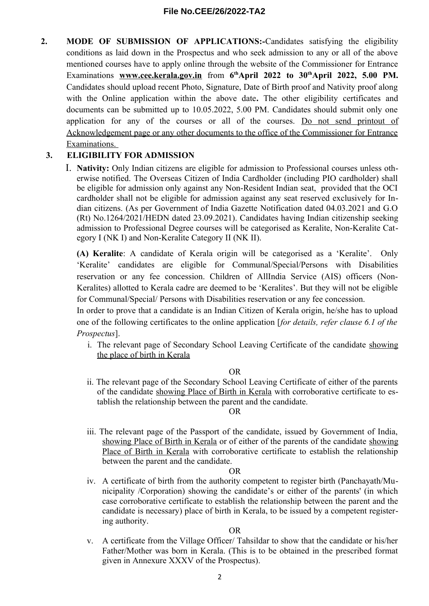**2. MODE OF SUBMISSION OF APPLICATIONS:-**Candidates satisfying the eligibility conditions as laid down in the Prospectus and who seek admission to any or all of the above mentioned courses have to apply online through the website of the Commissioner for Entrance Examinations **www.cee.kerala.gov.in** from **6 thApril 2022 to 30thApril 2022, 5.00 PM.** Candidates should upload recent Photo, Signature, Date of Birth proof and Nativity proof along with the Online application within the above date**.** The other eligibility certificates and documents can be submitted up to 10.05.2022, 5.00 PM. Candidates should submit only one application for any of the courses or all of the courses. Do not send printout of Acknowledgement page or any other documents to the office of the Commissioner for Entrance Examinations.

## **3. ELIGIBILITY FOR ADMISSION**

I. **Nativity:** Only Indian citizens are eligible for admission to Professional courses unless otherwise notified. The Overseas Citizen of India Cardholder (including PIO cardholder) shall be eligible for admission only against any Non-Resident Indian seat, provided that the OCI cardholder shall not be eligible for admission against any seat reserved exclusively for Indian citizens. (As per Government of India Gazette Notification dated 04.03.2021 and G.O (Rt) No.1264/2021/HEDN dated 23.09.2021). Candidates having Indian citizenship seeking admission to Professional Degree courses will be categorised as Keralite, Non-Keralite Category I (NK I) and Non-Keralite Category II (NK II).

**(A) Keralite**: A candidate of Kerala origin will be categorised as a 'Keralite'. Only 'Keralite' candidates are eligible for Communal/Special/Persons with Disabilities reservation or any fee concession. Children of AllIndia Service (AIS) officers (Non-Keralites) allotted to Kerala cadre are deemed to be 'Keralites'. But they will not be eligible for Communal/Special/ Persons with Disabilities reservation or any fee concession.

In order to prove that a candidate is an Indian Citizen of Kerala origin, he/she has to upload one of the following certificates to the online application [*for details, refer clause 6.1 of the Prospectus*].

i. The relevant page of Secondary School Leaving Certificate of the candidate showing the place of birth in Kerala

OR

ii. The relevant page of the Secondary School Leaving Certificate of either of the parents of the candidate showing Place of Birth in Kerala with corroborative certificate to establish the relationship between the parent and the candidate.

#### OR

iii. The relevant page of the Passport of the candidate, issued by Government of India, showing Place of Birth in Kerala or of either of the parents of the candidate showing Place of Birth in Kerala with corroborative certificate to establish the relationship between the parent and the candidate.

#### OR

iv. A certificate of birth from the authority competent to register birth (Panchayath/Municipality /Corporation) showing the candidate's or either of the parents' (in which case corroborative certificate to establish the relationship between the parent and the candidate is necessary) place of birth in Kerala, to be issued by a competent registering authority.

#### OR

v. A certificate from the Village Officer/ Tahsildar to show that the candidate or his/her Father/Mother was born in Kerala. (This is to be obtained in the prescribed format given in Annexure XXXV of the Prospectus).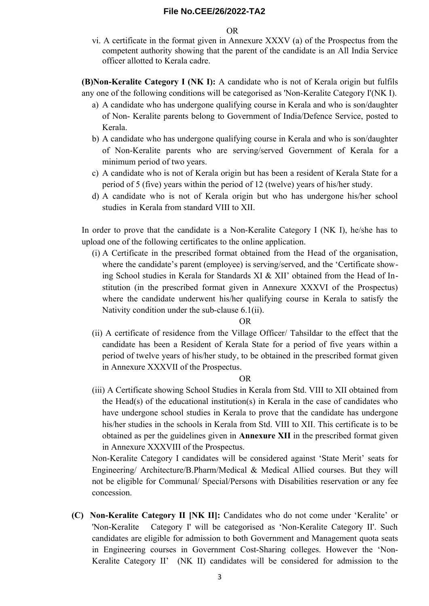OR

vi. A certificate in the format given in Annexure XXXV (a) of the Prospectus from the competent authority showing that the parent of the candidate is an All India Service officer allotted to Kerala cadre.

**(B)Non-Keralite Category I (NK I):** A candidate who is not of Kerala origin but fulfils any one of the following conditions will be categorised as 'Non-Keralite Category I'(NK I).

- a) A candidate who has undergone qualifying course in Kerala and who is son/daughter of Non- Keralite parents belong to Government of India/Defence Service, posted to Kerala.
- b) A candidate who has undergone qualifying course in Kerala and who is son/daughter of Non-Keralite parents who are serving/served Government of Kerala for a minimum period of two years.
- c) A candidate who is not of Kerala origin but has been a resident of Kerala State for a period of 5 (five) years within the period of 12 (twelve) years of his/her study.
- d) A candidate who is not of Kerala origin but who has undergone his/her school studies in Kerala from standard VIII to XII.

In order to prove that the candidate is a Non-Keralite Category I (NK I), he/she has to upload one of the following certificates to the online application.

(i) A Certificate in the prescribed format obtained from the Head of the organisation, where the candidate's parent (employee) is serving/served, and the 'Certificate showing School studies in Kerala for Standards XI & XII' obtained from the Head of Institution (in the prescribed format given in Annexure XXXVI of the Prospectus) where the candidate underwent his/her qualifying course in Kerala to satisfy the Nativity condition under the sub-clause 6.1(ii).

#### OR

(ii) A certificate of residence from the Village Officer/ Tahsildar to the effect that the candidate has been a Resident of Kerala State for a period of five years within a period of twelve years of his/her study, to be obtained in the prescribed format given in Annexure XXXVII of the Prospectus.

## OR

(iii) A Certificate showing School Studies in Kerala from Std. VIII to XII obtained from the Head(s) of the educational institution(s) in Kerala in the case of candidates who have undergone school studies in Kerala to prove that the candidate has undergone his/her studies in the schools in Kerala from Std. VIII to XII. This certificate is to be obtained as per the guidelines given in **Annexure XII** in the prescribed format given in Annexure XXXVIII of the Prospectus.

Non-Keralite Category I candidates will be considered against 'State Merit' seats for Engineering/ Architecture/B.Pharm/Medical & Medical Allied courses. But they will not be eligible for Communal/ Special/Persons with Disabilities reservation or any fee concession.

**(C) Non-Keralite Category II [NK II]:** Candidates who do not come under 'Keralite' or 'Non-Keralite Category I' will be categorised as 'Non-Keralite Category II'. Such candidates are eligible for admission to both Government and Management quota seats in Engineering courses in Government Cost-Sharing colleges. However the 'Non-Keralite Category II' (NK II) candidates will be considered for admission to the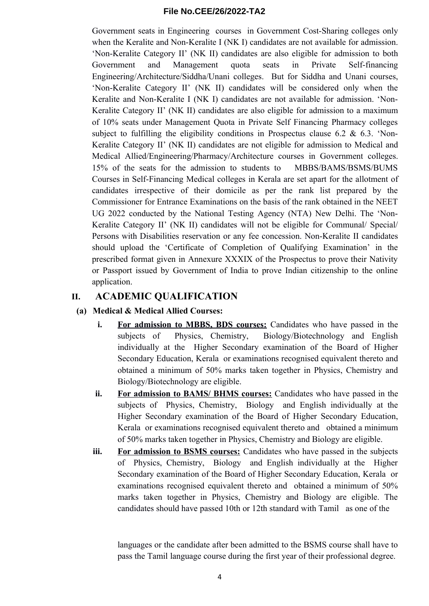Government seats in Engineering courses in Government Cost-Sharing colleges only when the Keralite and Non-Keralite I (NK I) candidates are not available for admission. 'Non-Keralite Category II' (NK II) candidates are also eligible for admission to both Government and Management quota seats in Private Self-financing Engineering/Architecture/Siddha/Unani colleges. But for Siddha and Unani courses, 'Non-Keralite Category II' (NK II) candidates will be considered only when the Keralite and Non-Keralite I (NK I) candidates are not available for admission. 'Non-Keralite Category II' (NK II) candidates are also eligible for admission to a maximum of 10% seats under Management Quota in Private Self Financing Pharmacy colleges subject to fulfilling the eligibility conditions in Prospectus clause 6.2  $\&$  6.3. 'Non-Keralite Category II' (NK II) candidates are not eligible for admission to Medical and Medical Allied/Engineering/Pharmacy/Architecture courses in Government colleges. 15% of the seats for the admission to students to MBBS/BAMS/BSMS/BUMS Courses in Self-Financing Medical colleges in Kerala are set apart for the allotment of candidates irrespective of their domicile as per the rank list prepared by the Commissioner for Entrance Examinations on the basis of the rank obtained in the NEET UG 2022 conducted by the National Testing Agency (NTA) New Delhi. The 'Non-Keralite Category II' (NK II) candidates will not be eligible for Communal/ Special/ Persons with Disabilities reservation or any fee concession. Non-Keralite II candidates should upload the 'Certificate of Completion of Qualifying Examination' in the prescribed format given in Annexure XXXIX of the Prospectus to prove their Nativity or Passport issued by Government of India to prove Indian citizenship to the online application.

## **II. ACADEMIC QUALIFICATION**

## **(a) Medical & Medical Allied Courses:**

- **i. For admission to MBBS, BDS courses:** Candidates who have passed in the subjects of Physics, Chemistry, Biology/Biotechnology and English individually at the Higher Secondary examination of the Board of Higher Secondary Education, Kerala or examinations recognised equivalent thereto and obtained a minimum of 50% marks taken together in Physics, Chemistry and Biology/Biotechnology are eligible.
- **ii. For admission to BAMS/ BHMS courses:** Candidates who have passed in the subjects of Physics, Chemistry, Biology and English individually at the Higher Secondary examination of the Board of Higher Secondary Education, Kerala or examinations recognised equivalent thereto and obtained a minimum of 50% marks taken together in Physics, Chemistry and Biology are eligible.
- **iii.** For admission to BSMS courses: Candidates who have passed in the subjects of Physics, Chemistry, Biology and English individually at the Higher Secondary examination of the Board of Higher Secondary Education, Kerala or examinations recognised equivalent thereto and obtained a minimum of 50% marks taken together in Physics, Chemistry and Biology are eligible. The candidates should have passed 10th or 12th standard with Tamil as one of the

languages or the candidate after been admitted to the BSMS course shall have to pass the Tamil language course during the first year of their professional degree.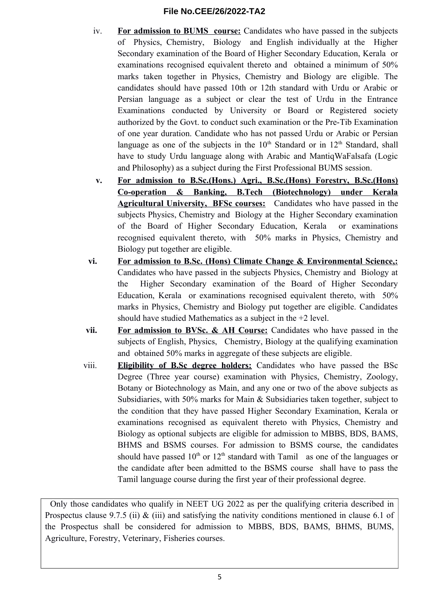- iv. **For admission to BUMS course:** Candidates who have passed in the subjects of Physics, Chemistry, Biology and English individually at the Higher Secondary examination of the Board of Higher Secondary Education, Kerala or examinations recognised equivalent thereto and obtained a minimum of 50% marks taken together in Physics, Chemistry and Biology are eligible. The candidates should have passed 10th or 12th standard with Urdu or Arabic or Persian language as a subject or clear the test of Urdu in the Entrance Examinations conducted by University or Board or Registered society authorized by the Govt. to conduct such examination or the Pre-Tib Examination of one year duration. Candidate who has not passed Urdu or Arabic or Persian language as one of the subjects in the  $10<sup>th</sup>$  Standard or in  $12<sup>th</sup>$  Standard, shall have to study Urdu language along with Arabic and MantiqWaFalsafa (Logic and Philosophy) as a subject during the First Professional BUMS session.
- **v. For admission to B.Sc.(Hons.) Agri., B.Sc.(Hons) Forestry, B.Sc.(Hons) Co-operation & Banking, B.Tech (Biotechnology) under Kerala Agricultural University, BFSc courses:** Candidates who have passed in the subjects Physics, Chemistry and Biology at the Higher Secondary examination of the Board of Higher Secondary Education, Kerala or examinations recognised equivalent thereto, with 50% marks in Physics, Chemistry and Biology put together are eligible.
- **vi. For admission to B.Sc. (Hons) Climate Change & Environmental Science,:** Candidates who have passed in the subjects Physics, Chemistry and Biology at the Higher Secondary examination of the Board of Higher Secondary Education, Kerala or examinations recognised equivalent thereto, with 50% marks in Physics, Chemistry and Biology put together are eligible. Candidates should have studied Mathematics as a subject in the +2 level.
- **vii. For admission to BVSc. & AH Course:** Candidates who have passed in the subjects of English, Physics, Chemistry, Biology at the qualifying examination and obtained 50% marks in aggregate of these subjects are eligible.
- viii. **Eligibility of B.Sc degree holders:** Candidates who have passed the BSc Degree (Three year course) examination with Physics, Chemistry, Zoology, Botany or Biotechnology as Main, and any one or two of the above subjects as Subsidiaries, with 50% marks for Main & Subsidiaries taken together, subject to the condition that they have passed Higher Secondary Examination, Kerala or examinations recognised as equivalent thereto with Physics, Chemistry and Biology as optional subjects are eligible for admission to MBBS, BDS, BAMS, BHMS and BSMS courses. For admission to BSMS course, the candidates should have passed  $10<sup>th</sup>$  or  $12<sup>th</sup>$  standard with Tamil as one of the languages or the candidate after been admitted to the BSMS course shall have to pass the Tamil language course during the first year of their professional degree.

Only those candidates who qualify in NEET UG 2022 as per the qualifying criteria described in Prospectus clause 9.7.5 (ii)  $\&$  (iii) and satisfying the nativity conditions mentioned in clause 6.1 of the Prospectus shall be considered for admission to MBBS, BDS, BAMS, BHMS, BUMS, Agriculture, Forestry, Veterinary, Fisheries courses.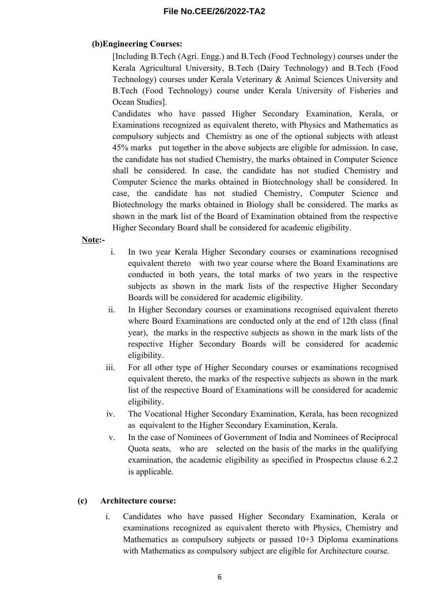## **(b)Engineering Courses:**

[Including B.Tech (Agri. Engg.) and B.Tech (Food Technology) courses under the Kerala Agricultural University, B.Tech (Dairy Technology) and B.Tech (Food Technology) courses under Kerala Veterinary & Animal Sciences University and B.Tech (Food Technology) course under Kerala University of Fisheries and Ocean Studies].

Candidates who have passed Higher Secondary Examination, Kerala, or Examinations recognized as equivalent thereto, with Physics and Mathematics as compulsory subjects and Chemistry as one of the optional subjects with atleast 45% marks put together in the above subjects are eligible for admission. In case, the candidate has not studied Chemistry, the marks obtained in Computer Science shall be considered. In case, the candidate has not studied Chemistry and Computer Science the marks obtained in Biotechnology shall be considered. In case, the candidate has not studied Chemistry, Computer Science and Biotechnology the marks obtained in Biology shall be considered. The marks as shown in the mark list of the Board of Examination obtained from the respective Higher Secondary Board shall be considered for academic eligibility.

## **Note:-**

- i. In two year Kerala Higher Secondary courses or examinations recognised equivalent thereto with two year course where the Board Examinations are conducted in both years, the total marks of two years in the respective subjects as shown in the mark lists of the respective Higher Secondary Boards will be considered for academic eligibility.
- ii. In Higher Secondary courses or examinations recognised equivalent thereto where Board Examinations are conducted only at the end of 12th class (final year), the marks in the respective subjects as shown in the mark lists of the respective Higher Secondary Boards will be considered for academic eligibility.
- iii. For all other type of Higher Secondary courses or examinations recognised equivalent thereto, the marks of the respective subjects as shown in the mark list of the respective Board of Examinations will be considered for academic eligibility.
- iv. The Vocational Higher Secondary Examination, Kerala, has been recognized as equivalent to the Higher Secondary Examination, Kerala.
- v. In the case of Nominees of Government of India and Nominees of Reciprocal Quota seats, who are selected on the basis of the marks in the qualifying examination, the academic eligibility as specified in Prospectus clause 6.2.2 is applicable.

## **(c) Architecture course:**

i. Candidates who have passed Higher Secondary Examination, Kerala or examinations recognized as equivalent thereto with Physics, Chemistry and Mathematics as compulsory subjects or passed 10+3 Diploma examinations with Mathematics as compulsory subject are eligible for Architecture course.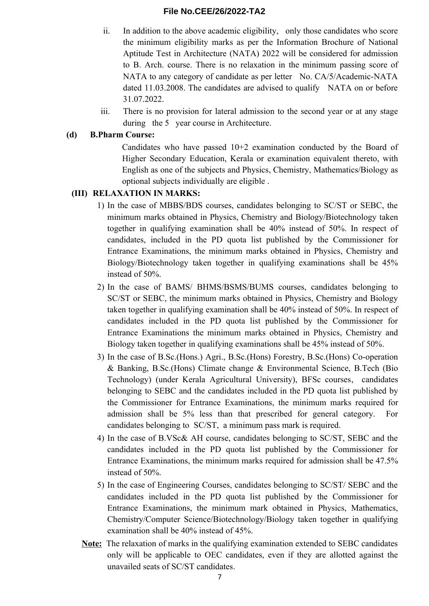- ii. In addition to the above academic eligibility, only those candidates who score the minimum eligibility marks as per the Information Brochure of National Aptitude Test in Architecture (NATA) 2022 will be considered for admission to B. Arch. course. There is no relaxation in the minimum passing score of NATA to any category of candidate as per letter No. CA/5/Academic-NATA dated 11.03.2008. The candidates are advised to qualify NATA on or before 31.07.2022.
- iii. There is no provision for lateral admission to the second year or at any stage during the 5 year course in Architecture.

## **(d) B.Pharm Course:**

Candidates who have passed  $10+2$  examination conducted by the Board of Higher Secondary Education, Kerala or examination equivalent thereto, with English as one of the subjects and Physics, Chemistry, Mathematics/Biology as optional subjects individually are eligible .

## **(III) RELAXATION IN MARKS:**

- 1) In the case of MBBS/BDS courses, candidates belonging to SC/ST or SEBC, the minimum marks obtained in Physics, Chemistry and Biology/Biotechnology taken together in qualifying examination shall be 40% instead of 50%. In respect of candidates, included in the PD quota list published by the Commissioner for Entrance Examinations, the minimum marks obtained in Physics, Chemistry and Biology/Biotechnology taken together in qualifying examinations shall be 45% instead of 50%.
- 2) In the case of BAMS/ BHMS/BSMS/BUMS courses, candidates belonging to SC/ST or SEBC, the minimum marks obtained in Physics, Chemistry and Biology taken together in qualifying examination shall be 40% instead of 50%. In respect of candidates included in the PD quota list published by the Commissioner for Entrance Examinations the minimum marks obtained in Physics, Chemistry and Biology taken together in qualifying examinations shall be 45% instead of 50%.
- 3) In the case of B.Sc.(Hons.) Agri., B.Sc.(Hons) Forestry, B.Sc.(Hons) Co-operation & Banking, B.Sc.(Hons) Climate change & Environmental Science, B.Tech (Bio Technology) (under Kerala Agricultural University), BFSc courses, candidates belonging to SEBC and the candidates included in the PD quota list published by the Commissioner for Entrance Examinations, the minimum marks required for admission shall be 5% less than that prescribed for general category. For candidates belonging to SC/ST, a minimum pass mark is required.
- 4) In the case of B.VSc& AH course, candidates belonging to SC/ST, SEBC and the candidates included in the PD quota list published by the Commissioner for Entrance Examinations, the minimum marks required for admission shall be 47.5% instead of 50%.
- 5) In the case of Engineering Courses, candidates belonging to SC/ST/ SEBC and the candidates included in the PD quota list published by the Commissioner for Entrance Examinations, the minimum mark obtained in Physics, Mathematics, Chemistry/Computer Science/Biotechnology/Biology taken together in qualifying examination shall be 40% instead of 45%.
- **Note:** The relaxation of marks in the qualifying examination extended to SEBC candidates only will be applicable to OEC candidates, even if they are allotted against the unavailed seats of SC/ST candidates.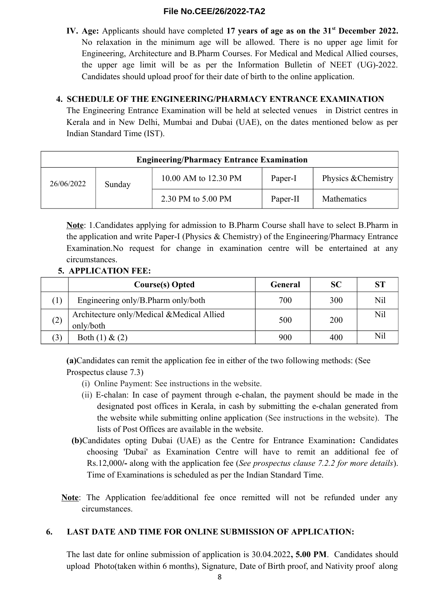**IV. Age:** Applicants should have completed **17 years of age as on the 31st December 2022.** No relaxation in the minimum age will be allowed. There is no upper age limit for Engineering, Architecture and B.Pharm Courses. For Medical and Medical Allied courses, the upper age limit will be as per the Information Bulletin of NEET (UG)-2022. Candidates should upload proof for their date of birth to the online application.

## **4. SCHEDULE OF THE ENGINEERING/PHARMACY ENTRANCE EXAMINATION**

The Engineering Entrance Examination will be held at selected venues in District centres in Kerala and in New Delhi, Mumbai and Dubai (UAE), on the dates mentioned below as per Indian Standard Time (IST).

| <b>Engineering/Pharmacy Entrance Examination</b> |        |                      |          |                     |  |  |  |
|--------------------------------------------------|--------|----------------------|----------|---------------------|--|--|--|
| 26/06/2022                                       | Sunday | 10.00 AM to 12.30 PM | Paper-I  | Physics & Chemistry |  |  |  |
|                                                  |        | 2.30 PM to 5.00 PM   | Paper-II | Mathematics         |  |  |  |

**Note**: 1.Candidates applying for admission to B.Pharm Course shall have to select B.Pharm in the application and write Paper-I (Physics & Chemistry) of the Engineering/Pharmacy Entrance Examination.No request for change in examination centre will be entertained at any circumstances.

## **5. APPLICATION FEE:**

|     | <b>Course(s)</b> Opted                                 | General | <b>SC</b> | <b>ST</b> |
|-----|--------------------------------------------------------|---------|-----------|-----------|
|     | Engineering only/B.Pharm only/both                     | 700     | 300       | Nil       |
| (2) | Architecture only/Medical &Medical Allied<br>only/both | 500     | 200       | Nil       |
| 3)  | Both $(1)$ & $(2)$                                     | 900     | 400       | Nil       |

**(a)**Candidates can remit the application fee in either of the two following methods: (See Prospectus clause 7.3)

- (i) Online Payment: See instructions in the website.
- (ii) E-chalan: In case of payment through e-chalan, the payment should be made in the designated post offices in Kerala, in cash by submitting the e-chalan generated from the website while submitting online application (See instructions in the website). The lists of Post Offices are available in the website.
- **(b)**Candidates opting Dubai (UAE) as the Centre for Entrance Examination**:** Candidates choosing 'Dubai' as Examination Centre will have to remit an additional fee of Rs.12,000**/-** along with the application fee (*See prospectus clause 7.2.2 for more details*). Time of Examinations is scheduled as per the Indian Standard Time.
- **Note**: The Application fee/additional fee once remitted will not be refunded under any circumstances.

## **6. LAST DATE AND TIME FOR ONLINE SUBMISSION OF APPLICATION:**

The last date for online submission of application is 30.04.2022**, 5.00 PM**. Candidates should upload Photo(taken within 6 months), Signature, Date of Birth proof, and Nativity proof along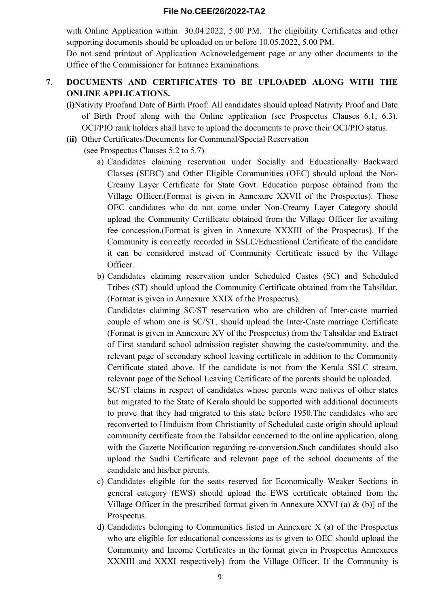with Online Application within 30.04.2022, 5.00 PM. The eligibility Certificates and other supporting documents should be uploaded on or before 10.05.2022, 5.00 PM.

Do not send printout of Application Acknowledgement page or any other documents to the Office of the Commissioner for Entrance Examinations.

## **7**. **DOCUMENTS AND CERTIFICATES TO BE UPLOADED ALONG WITH THE ONLINE APPLICATIONS.**

- **(i)**Nativity Proofand Date of Birth Proof: All candidates should upload Nativity Proof and Date of Birth Proof along with the Online application (see Prospectus Clauses 6.1, 6.3). OCI/PIO rank holders shall have to upload the documents to prove their OCI/PIO status.
- **(ii)** Other Certificates/Documents for Communal/Special Reservation

(see Prospectus Clauses 5.2 to 5.7)

- a) Candidates claiming reservation under Socially and Educationally Backward Classes (SEBC) and Other Eligible Communities (OEC) should upload the Non-Creamy Layer Certificate for State Govt. Education purpose obtained from the Village Officer.(Format is given in Annexure XXVII of the Prospectus). Those OEC candidates who do not come under Non-Creamy Layer Category should upload the Community Certificate obtained from the Village Officer for availing fee concession.(Format is given in Annexure XXXIII of the Prospectus). If the Community is correctly recorded in SSLC/Educational Certificate of the candidate it can be considered instead of Community Certificate issued by the Village Officer.
- b) Candidates claiming reservation under Scheduled Castes (SC) and Scheduled Tribes (ST) should upload the Community Certificate obtained from the Tahsildar. (Format is given in Annexure XXIX of the Prospectus).

Candidates claiming SC/ST reservation who are children of Inter-caste married couple of whom one is SC/ST, should upload the Inter-Caste marriage Certificate (Format is given in Annexure XV of the Prospectus) from the Tahsildar and Extract of First standard school admission register showing the caste/community, and the relevant page of secondary school leaving certificate in addition to the Community Certificate stated above. If the candidate is not from the Kerala SSLC stream, relevant page of the School Leaving Certificate of the parents should be uploaded.

SC/ST claims in respect of candidates whose parents were natives of other states but migrated to the State of Kerala should be supported with additional documents to prove that they had migrated to this state before 1950.The candidates who are reconverted to Hinduism from Christianity of Scheduled caste origin should upload community certificate from the Tahsildar concerned to the online application, along with the Gazette Notification regarding re-conversion.Such candidates should also upload the Sudhi Certificate and relevant page of the school documents of the candidate and his/her parents.

- c) Candidates eligible for the seats reserved for Economically Weaker Sections in general category (EWS) should upload the EWS certificate obtained from the Village Officer in the prescribed format given in Annexure XXVI (a)  $\&$  (b)] of the Prospectus.
- d) Candidates belonging to Communities listed in Annexure X (a) of the Prospectus who are eligible for educational concessions as is given to OEC should upload the Community and Income Certificates in the format given in Prospectus Annexures XXXIII and XXXI respectively) from the Village Officer. If the Community is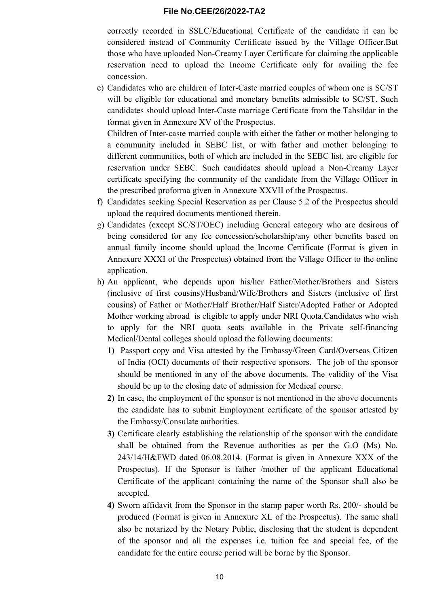correctly recorded in SSLC/Educational Certificate of the candidate it can be considered instead of Community Certificate issued by the Village Officer.But those who have uploaded Non-Creamy Layer Certificate for claiming the applicable reservation need to upload the Income Certificate only for availing the fee concession.

e) Candidates who are children of Inter-Caste married couples of whom one is SC/ST will be eligible for educational and monetary benefits admissible to SC/ST. Such candidates should upload Inter-Caste marriage Certificate from the Tahsildar in the format given in Annexure XV of the Prospectus.

Children of Inter-caste married couple with either the father or mother belonging to a community included in SEBC list, or with father and mother belonging to different communities, both of which are included in the SEBC list, are eligible for reservation under SEBC. Such candidates should upload a Non-Creamy Layer certificate specifying the community of the candidate from the Village Officer in the prescribed proforma given in Annexure XXVII of the Prospectus.

- f) Candidates seeking Special Reservation as per Clause 5.2 of the Prospectus should upload the required documents mentioned therein.
- g) Candidates (except SC/ST/OEC) including General category who are desirous of being considered for any fee concession/scholarship/any other benefits based on annual family income should upload the Income Certificate (Format is given in Annexure XXXI of the Prospectus) obtained from the Village Officer to the online application.
- h) An applicant, who depends upon his/her Father/Mother/Brothers and Sisters (inclusive of first cousins)/Husband/Wife/Brothers and Sisters (inclusive of first cousins) of Father or Mother/Half Brother/Half Sister/Adopted Father or Adopted Mother working abroad is eligible to apply under NRI Quota.Candidates who wish to apply for the NRI quota seats available in the Private self-financing Medical/Dental colleges should upload the following documents:
	- **1)** Passport copy and Visa attested by the Embassy/Green Card/Overseas Citizen of India (OCI) documents of their respective sponsors. The job of the sponsor should be mentioned in any of the above documents. The validity of the Visa should be up to the closing date of admission for Medical course.
	- **2)** In case, the employment of the sponsor is not mentioned in the above documents the candidate has to submit Employment certificate of the sponsor attested by the Embassy/Consulate authorities.
	- **3)** Certificate clearly establishing the relationship of the sponsor with the candidate shall be obtained from the Revenue authorities as per the G.O (Ms) No. 243/14/H&FWD dated 06.08.2014. (Format is given in Annexure XXX of the Prospectus). If the Sponsor is father /mother of the applicant Educational Certificate of the applicant containing the name of the Sponsor shall also be accepted.
	- **4)** Sworn affidavit from the Sponsor in the stamp paper worth Rs. 200/- should be produced (Format is given in Annexure XL of the Prospectus). The same shall also be notarized by the Notary Public, disclosing that the student is dependent of the sponsor and all the expenses i.e. tuition fee and special fee, of the candidate for the entire course period will be borne by the Sponsor.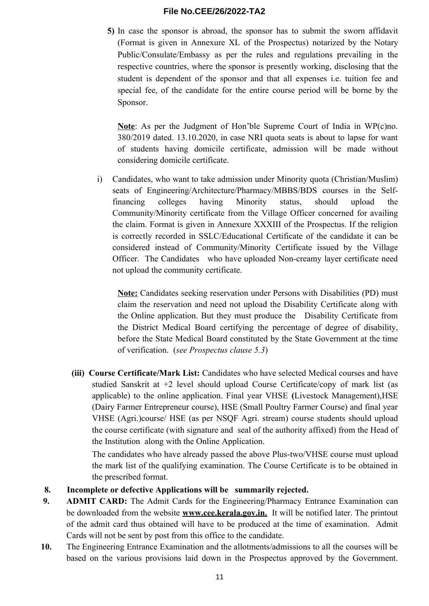**5)** In case the sponsor is abroad, the sponsor has to submit the sworn affidavit (Format is given in Annexure XL of the Prospectus) notarized by the Notary Public/Consulate/Embassy as per the rules and regulations prevailing in the respective countries, where the sponsor is presently working, disclosing that the student is dependent of the sponsor and that all expenses i.e. tuition fee and special fee, of the candidate for the entire course period will be borne by the Sponsor.

**Note**: As per the Judgment of Hon'ble Supreme Court of India in WP(c)no. 380/2019 dated. 13.10.2020, in case NRI quota seats is about to lapse for want of students having domicile certificate, admission will be made without considering domicile certificate.

i) Candidates, who want to take admission under Minority quota (Christian/Muslim) seats of Engineering/Architecture/Pharmacy/MBBS/BDS courses in the Selffinancing colleges having Minority status, should upload the Community/Minority certificate from the Village Officer concerned for availing the claim. Format is given in Annexure XXXIII of the Prospectus. If the religion is correctly recorded in SSLC/Educational Certificate of the candidate it can be considered instead of Community/Minority Certificate issued by the Village Officer. The Candidates who have uploaded Non-creamy layer certificate need not upload the community certificate.

**Note:** Candidates seeking reservation under Persons with Disabilities (PD) must claim the reservation and need not upload the Disability Certificate along with the Online application. But they must produce the Disability Certificate from the District Medical Board certifying the percentage of degree of disability, before the State Medical Board constituted by the State Government at the time of verification. (*see Prospectus clause 5.3*)

**(iii) Course Certificate/Mark List:** Candidates who have selected Medical courses and have studied Sanskrit at +2 level should upload Course Certificate/copy of mark list (as applicable) to the online application. Final year VHSE **(**Livestock Management),HSE (Dairy Farmer Entrepreneur course), HSE (Small Poultry Farmer Course) and final year VHSE (Agri.)course/ HSE (as per NSQF Agri. stream) course students should upload the course certificate (with signature and seal of the authority affixed) from the Head of the Institution along with the Online Application.

The candidates who have already passed the above Plus-two/VHSE course must upload the mark list of the qualifying examination. The Course Certificate is to be obtained in the prescribed format.

- **8. Incomplete or defective Applications will be summarily rejected.**
- **9. ADMIT CARD:** The Admit Cards for the Engineering/Pharmacy Entrance Examination can be downloaded from the website **www.cee.kerala.gov.in.** It will be notified later. The printout of the admit card thus obtained will have to be produced at the time of examination. Admit Cards will not be sent by post from this office to the candidate.
- **10.** The Engineering Entrance Examination and the allotments/admissions to all the courses will be based on the various provisions laid down in the Prospectus approved by the Government.